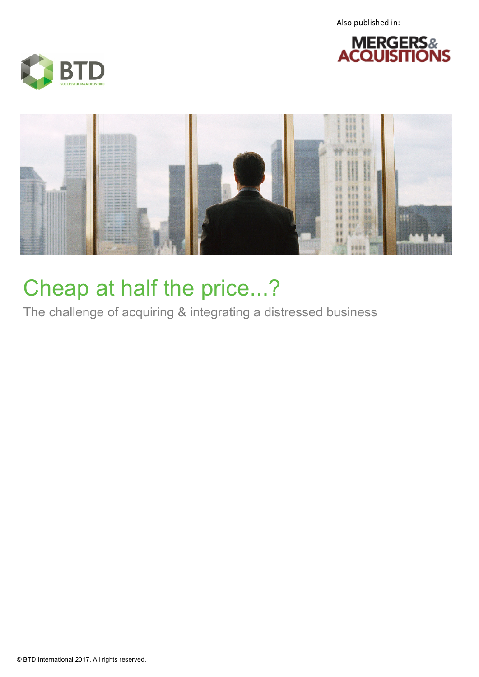Also published in:







## Cheap at half the price...?

The challenge of acquiring & integrating a distressed business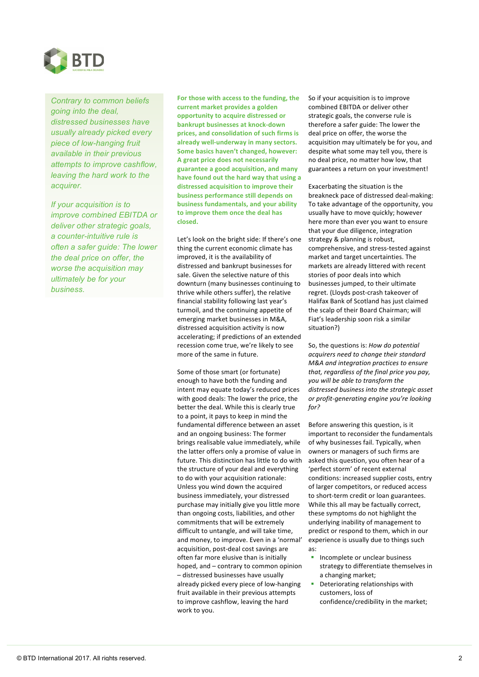

*Contrary to common beliefs going into the deal, distressed businesses have usually already picked every piece of low-hanging fruit available in their previous attempts to improve cashflow, leaving the hard work to the acquirer.*

*If your acquisition is to improve combined EBITDA or deliver other strategic goals, a counter-intuitive rule is often a safer guide: The lower the deal price on offer, the worse the acquisition may ultimately be for your business.*

For those with access to the funding, the **current market provides a golden opportunity to acquire distressed or bankrupt businesses at knock-down** prices, and consolidation of such firms is already well-underway in many sectors. **Some basics haven't changed, however: A great price does not necessarily** guarantee a good acquisition, and many have found out the hard way that using a distressed acquisition to improve their **business performance still depends on business fundamentals, and your ability** to improve them once the deal has **closed.** 

Let's look on the bright side: If there's one thing the current economic climate has improved, it is the availability of distressed and bankrupt businesses for sale. Given the selective nature of this downturn (many businesses continuing to thrive while others suffer), the relative financial stability following last year's turmoil, and the continuing appetite of emerging market businesses in M&A, distressed acquisition activity is now accelerating: if predictions of an extended recession come true, we're likely to see more of the same in future.

Some of those smart (or fortunate) enough to have both the funding and intent may equate today's reduced prices with good deals: The lower the price, the better the deal. While this is clearly true to a point, it pays to keep in mind the fundamental difference between an asset and an ongoing business: The former brings realisable value immediately, while the latter offers only a promise of value in future. This distinction has little to do with the structure of your deal and everything to do with your acquisition rationale: Unless you wind down the acquired business immediately, your distressed purchase may initially give you little more than ongoing costs, liabilities, and other commitments that will be extremely difficult to untangle, and will take time, and money, to improve. Even in a 'normal' acquisition, post-deal cost savings are often far more elusive than is initially hoped, and – contrary to common opinion - distressed businesses have usually already picked every piece of low-hanging fruit available in their previous attempts to improve cashflow, leaving the hard work to you.

So if your acquisition is to improve combined EBITDA or deliver other strategic goals, the converse rule is therefore a safer guide: The lower the deal price on offer, the worse the acquisition may ultimately be for you, and despite what some may tell you, there is no deal price, no matter how low, that guarantees a return on your investment!

Exacerbating the situation is the breakneck pace of distressed deal-making: To take advantage of the opportunity, you usually have to move quickly; however here more than ever you want to ensure that your due diligence, integration strategy & planning is robust. comprehensive, and stress-tested against market and target uncertainties. The markets are already littered with recent stories of poor deals into which businesses jumped, to their ultimate regret. (Lloyds post-crash takeover of Halifax Bank of Scotland has just claimed the scalp of their Board Chairman; will Fiat's leadership soon risk a similar situation?) 

So, the questions is: *How do potential acquirers need to change their standard M&A and integration practices to ensure*  that, regardless of the final price you pay, you will be able to transform the distressed business into the strategic asset *or profit-generating engine you're looking for?*

Before answering this question, is it important to reconsider the fundamentals of why businesses fail. Typically, when owners or managers of such firms are asked this question, you often hear of a 'perfect storm' of recent external conditions: increased supplier costs, entry of larger competitors, or reduced access to short-term credit or loan guarantees. While this all may be factually correct, these symptoms do not highlight the underlying inability of management to predict or respond to them, which in our experience is usually due to things such as:

- Incomplete or unclear business strategy to differentiate themselves in a changing market;
- Deteriorating relationships with customers, loss of confidence/credibility in the market;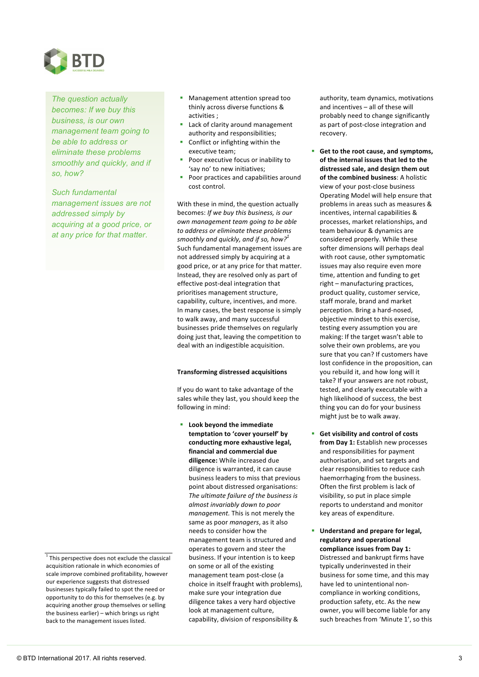

*The question actually becomes: If we buy this business, is our own management team going to be able to address or eliminate these problems smoothly and quickly, and if so, how?*

*Such fundamental management issues are not addressed simply by acquiring at a good price, or at any price for that matter.*

 $1$ <sup>1</sup> This perspective does not exclude the classical acquisition rationale in which economies of scale improve combined profitability, however our experience suggests that distressed businesses typically failed to spot the need or opportunity to do this for themselves (e.g. by acquiring another group themselves or selling the business earlier)  $-$  which brings us right back to the management issues listed.

- Management attention spread too thinly across diverse functions & activities :
- Lack of clarity around management authority and responsibilities;
- Conflict or infighting within the executive team;
- Poor executive focus or inability to 'say no' to new initiatives;
- Poor practices and capabilities around cost control.

With these in mind, the question actually becomes: If we buy this business, is our *own management team going to be able to address or eliminate these problems smoothly and quickly, and if so, how?* $^{\rm 1}$ Such fundamental management issues are not addressed simply by acquiring at a good price, or at any price for that matter. Instead, they are resolved only as part of effective post-deal integration that prioritises management structure, capability, culture, incentives, and more. In many cases, the best response is simply to walk away, and many successful businesses pride themselves on regularly doing just that, leaving the competition to deal with an indigestible acquisition.

## **Transforming distressed acquisitions**

If you do want to take advantage of the sales while they last, you should keep the following in mind:

**E** Look beyond the immediate temptation to 'cover yourself' by conducting more exhaustive legal, **financial and commercial due**  diligence: While increased due diligence is warranted, it can cause business leaders to miss that previous point about distressed organisations: The ultimate failure of the business is *almost invariably down to poor management*. This is not merely the same as poor *managers*, as it also needs to consider how the management team is structured and operates to govern and steer the business. If your intention is to keep on some or all of the existing management team post-close (a choice in itself fraught with problems), make sure your integration due diligence takes a very hard objective look at management culture, capability, division of responsibility &

authority, team dynamics, motivations and incentives  $-$  all of these will probably need to change significantly as part of post-close integration and recovery.

- Get to the root cause, and symptoms, of the internal issues that led to the distressed sale, and design them out **of the combined business:** A holistic view of your post-close business Operating Model will help ensure that problems in areas such as measures & incentives, internal capabilities & processes, market relationships, and team behaviour & dynamics are considered properly. While these softer dimensions will perhaps deal with root cause, other symptomatic issues may also require even more time, attention and funding to get  $right$  – manufacturing practices, product quality, customer service, staff morale, brand and market perception. Bring a hard-nosed, objective mindset to this exercise, testing every assumption you are making: If the target wasn't able to solve their own problems, are you sure that you can? If customers have lost confidence in the proposition, can you rebuild it, and how long will it take? If your answers are not robust, tested, and clearly executable with a high likelihood of success, the best thing you can do for your business might just be to walk away.
- Get visibility and control of costs **from Day 1:** Establish new processes and responsibilities for payment authorisation, and set targets and clear responsibilities to reduce cash haemorrhaging from the business. Often the first problem is lack of visibility, so put in place simple reports to understand and monitor key areas of expenditure.
- **Understand and prepare for legal, regulatory and operational**  compliance issues from Day 1: Distressed and bankrupt firms have typically underinvested in their business for some time, and this may have led to unintentional noncompliance in working conditions, production safety, etc. As the new owner, you will become liable for any such breaches from 'Minute 1', so this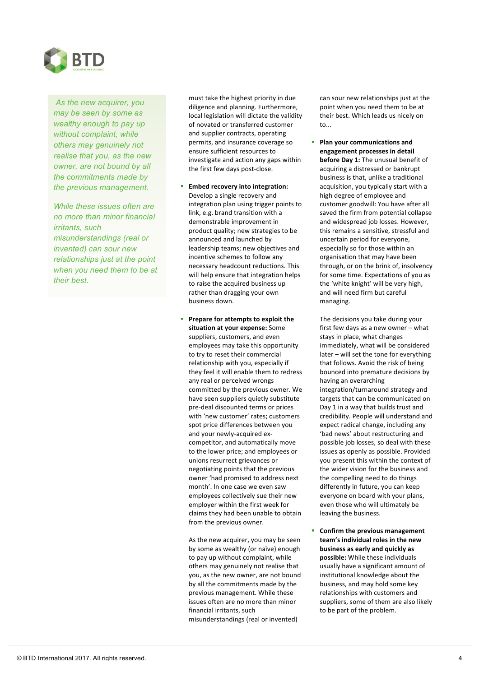

*As the new acquirer, you may be seen by some as wealthy enough to pay up without complaint, while others may genuinely not realise that you, as the new owner, are not bound by all the commitments made by the previous management.* 

*While these issues often are no more than minor financial irritants, such misunderstandings (real or invented) can sour new relationships just at the point when you need them to be at their best.*

must take the highest priority in due diligence and planning. Furthermore, local legislation will dictate the validity of novated or transferred customer and supplier contracts, operating permits, and insurance coverage so ensure sufficient resources to investigate and action any gaps within the first few days post-close.

- **Embed recovery into integration:** Develop a single recovery and integration plan using trigger points to link, e.g. brand transition with a demonstrable improvement in product quality; new strategies to be announced and launched by leadership teams; new objectives and incentive schemes to follow any necessary headcount reductions. This will help ensure that integration helps to raise the acquired business up rather than dragging your own business down.
- **Prepare for attempts to exploit the** situation at your expense: Some suppliers, customers, and even employees may take this opportunity to try to reset their commercial relationship with you, especially if they feel it will enable them to redress any real or perceived wrongs committed by the previous owner. We have seen suppliers quietly substitute pre-deal discounted terms or prices with 'new customer' rates; customers spot price differences between you and your newly-acquired excompetitor, and automatically move to the lower price; and employees or unions resurrect grievances or negotiating points that the previous owner 'had promised to address next month'. In one case we even saw employees collectively sue their new employer within the first week for claims they had been unable to obtain from the previous owner.

As the new acquirer, you may be seen by some as wealthy (or naïve) enough to pay up without complaint, while others may genuinely not realise that you, as the new owner, are not bound by all the commitments made by the previous management. While these issues often are no more than minor financial irritants, such misunderstandings (real or invented)

can sour new relationships just at the point when you need them to be at their best. Which leads us nicely on to...

Plan your communications and engagement processes in detail **before Day 1:** The unusual benefit of acquiring a distressed or bankrupt business is that, unlike a traditional acquisition, you typically start with a high degree of employee and customer goodwill: You have after all saved the firm from potential collapse and widespread job losses. However, this remains a sensitive, stressful and uncertain period for everyone. especially so for those within an organisation that may have been through, or on the brink of, insolvency for some time. Expectations of you as the 'white knight' will be very high, and will need firm but careful managing. 

The decisions you take during your first few days as a new owner  $-$  what stays in place, what changes immediately, what will be considered  $later - will set the tone for everything$ that follows. Avoid the risk of being bounced into premature decisions by having an overarching integration/turnaround strategy and targets that can be communicated on Day 1 in a way that builds trust and credibility. People will understand and expect radical change, including any 'bad news' about restructuring and possible job losses, so deal with these issues as openly as possible. Provided you present this within the context of the wider vision for the business and the compelling need to do things differently in future, you can keep everyone on board with your plans, even those who will ultimately be leaving the business.

**E** Confirm the previous management team's individual roles in the new **business as early and quickly as possible:** While these individuals usually have a significant amount of institutional knowledge about the business, and may hold some key relationships with customers and suppliers, some of them are also likely to be part of the problem.